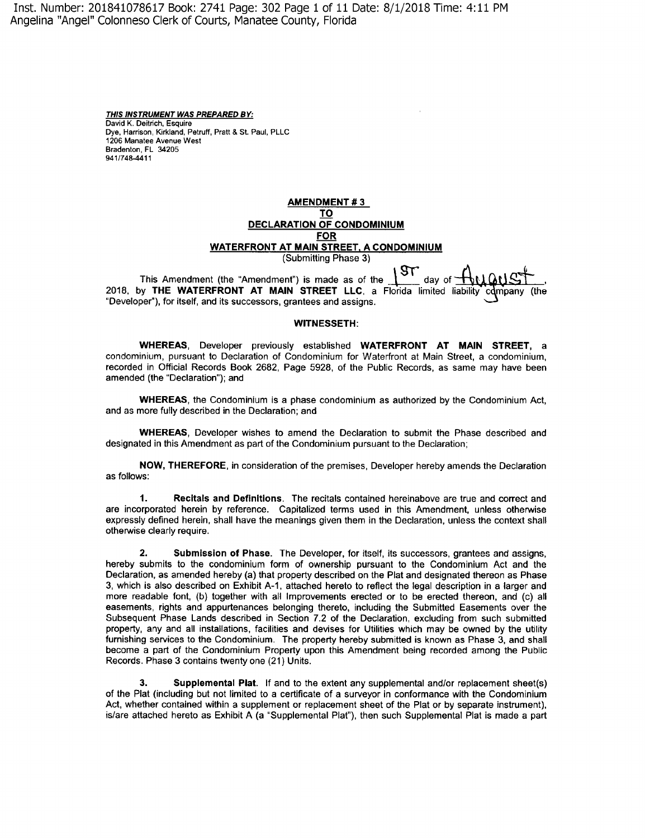Inst. Number: 201841078617 Book: 2741 Page: 302 Page 1 of 11 Date: 8/1/2018 Time: 4: 11 PM Angelina "Angel" Colonneso Clerk of Courts, Manatee County, Florida

> **THIS INSTRUMENT WAS PREPARED BY:**  David K. Deitrich, Esquire Dye, Harrison, Kirkland, Petruff, Pratt & St. Paul, PLLC 1206 Manatee Avenue West Bradenton, FL 34205 941/748-4411

## **AMENDMENT# 3 TO DECLARATION OF CONDOMINIUM FOR WATERFRONT AT MAIN STREET, A CONDOMINIUM**  (Submitting Phase 3)

This Amendment (the "Amendment") is made as of the  $\mathbb{R}^{\times}$  day of 2018, by **THE WATERFRONT AT MAIN STREET LLC,** a Florida limited liability (the "Developer"), for itself, and its successors, grantees and assigns.

#### **WITNESSETH:**

**WHEREAS,** Developer previously established **WATERFRONT AT MAIN STREET,** a condominium, pursuant to Declaration of Condominium for Waterfront at Main Street, a condominium, recorded in Official Records Book 2682, Page 5928, of the Public Records, as same may have been amended (the "Declaration"); and

**WHEREAS,** the Condominium is a phase condominium as authorized by the Condominium Act, and as more fully described in the Declaration; and

**WHEREAS,** Developer wishes to amend the Declaration to submit the Phase described and designated in this Amendment as part of the Condominium pursuant to the Declaration;

**NOW, THEREFORE,** in consideration of the premises, Developer hereby amends the Declaration as follows:

**1. Recitals and Definitions.** The recitals contained hereinabove are true and correct and are incorporated herein by reference. Capitalized terms used in this Amendment, unless otherwise expressly defined herein, shall have the meanings given them in the Declaration, unless the context shall otherwise clearly require.

**2. Submission of Phase.** The Developer, for itself, its successors, grantees and assigns, hereby submits to the condominium form of ownership pursuant to the Condominium Act and the Declaration, as amended hereby (a) that property described on the Plat and designated thereon as Phase 3, which is also described on Exhibit A-1, attached hereto to reflect the legal description in a larger and more readable font, (b) together with all Improvements erected or to be erected thereon, and (c) all easements, rights and appurtenances belonging thereto, including the Submitted Easements over the Subsequent Phase Lands described in Section 7.2 of the Declaration, excluding from such submitted property, any and all installations, facilities and devises for Utilities which may be owned by the utility furnishing services to the Condominium. The property hereby submitted is known as Phase 3, and shall become a part of the Condominium Property upon this Amendment being recorded among the Public Records. Phase 3 contains twenty one (21) Units.

**3. Supplemental Plat.** If and to the extent any supplemental and/or replacement sheet(s) of the Plat (including but not limited to a certificate of a surveyor in conformance with the Condominium Act, whether contained within a supplement or replacement sheet of the Plat or by separate instrument), is/are attached hereto as Exhibit A (a "Supplemental Plat"), then such Supplemental Plat is made a part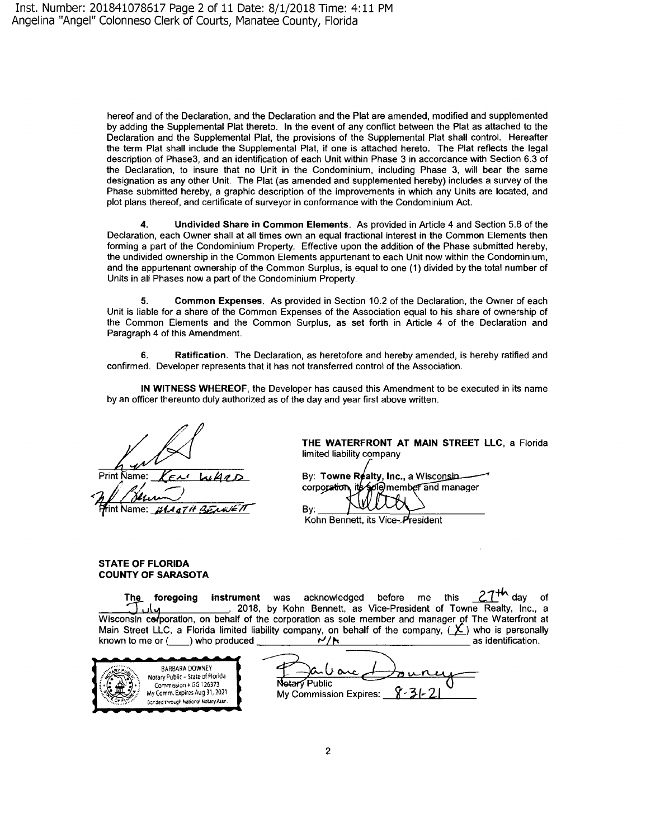hereof and of the Declaration, and the Declaration and the Plat are amended, modified and supplemented by adding the Supplemental Plat thereto. In the event of any conflict between the Plat as attached to the Declaration and the Supplemental Plat, the provisions of the Supplemental Plat shall control. Hereafter the term Plat shall include the Supplemental Plat, if one is attached hereto. The Plat reflects the legal description of Phase3, and an identification of each Unit within Phase 3 in accordance with Section 6.3 of the Declaration, to insure that no Unit in the Condominium, including Phase 3, will bear the same designation as any other Unit. The Plat (as amended and supplemented hereby) includes a survey of the Phase submitted hereby, a graphic description of the improvements in which any Units are located, and plot plans thereof, and certificate of surveyor in conformance with the Condominium Act.

**4. Undivided Share in Common Elements.** As provided in Article 4 and Section 5.8 of the Declaration, each Owner shall at all times own an equal fractional interest in the Common Elements then forming a part of the Condominium Property. Effective upon the addition of the Phase submitted hereby, the undivided ownership in the Common Elements appurtenant to each Unit now within the Condominium, and the appurtenant ownership of the Common Surplus, is equal to one **(1)** divided by the total number of Units in all Phases now a part of the Condominium Property.

**5. Common Expenses.** As provided in Section 10.2 of the Declaration, the Owner of each Unit is liable for a share of the Common Expenses of the Association equal to his share of ownership of the Common Elements and the Common Surplus, as set forth in Article 4 of the Declaration and Paragraph 4 of this Amendment.

**6. Ratification.** The Declaration, as heretofore and hereby amended, is hereby ratified and confirmed. Developer represents that it has not transferred control of the Association.

**IN WITNESS WHEREOF,** the Developer has caused this Amendment to be executed in its name by an officer thereunto duly authorized as of the day and year first above written.

Print Name: rint Name:

**THE WATERFRONT AT MAIN STREET LLC,** a Florida limited liability company

By: Towne Realty, Inc., a Wisconsin corporation olemember and manager

Kohn Bennett, its Vice-President

### **STATE OF FLORIDA COUNTY OF SARASOTA**

**The foregoing instrument** was acknowledged before me this <u>Z</u>T<sup>TY</sup> day of *X*, and *X X*, and *X X* , a Wisconsin corporation, on behalf of the corporation as sole member and manager of The Waterfront at Main Street LLC, a Florida limited liability company, on behalf of the company, {1\_) who is personally known to me or( \_\_ ) who produced **r-1** as identification.

Bv:



Roubanc Dourrey **Netary Public My Commission Expires:**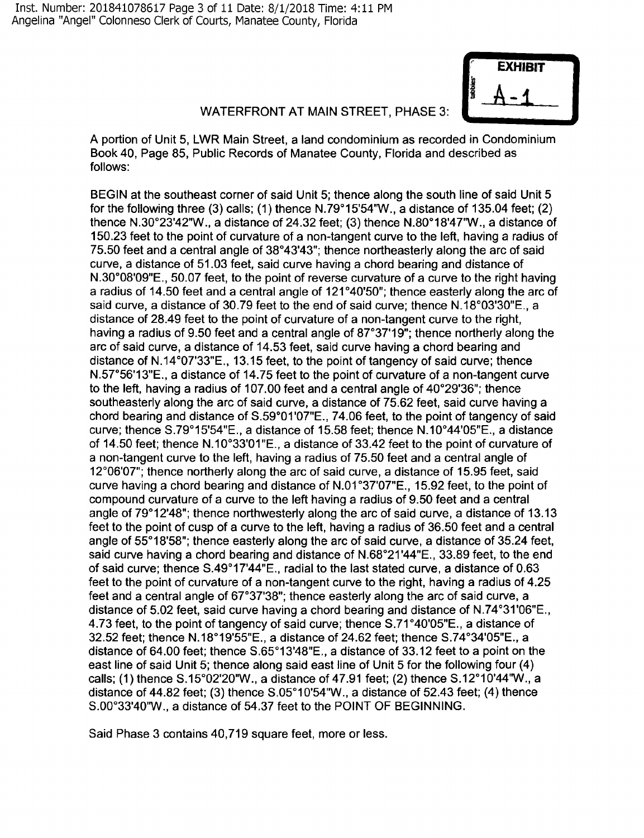

# WATERFRONT AT MAIN STREET, PHASE 3:

A portion of Unit 5, LWR Main Street, a land condominium as recorded in Condominium Book 40, Page 85, Public Records of Manatee County, Florida and described as follows:

BEGIN at the southeast corner of said Unit 5; thence along the south line of said Unit 5 for the following three (3) calls; (1) thence  $N.79^{\circ}15'54''W$ ., a distance of 135.04 feet; (2) thence N.30°23'42"W., a distance of 24.32 feet; (3) thence N.80°18'47'W., a distance of 150.23 feet to the point of curvature of a non-tangent curve to the left, having a radius of 75.50 feet and a central angle of 38°43'43"; thence northeasterly along the arc of said curve, a distance of 51.03 feet, said curve having a chord bearing and distance of N.30°08'09"E., 50.07 feet, to the point of reverse curvature of a curve to the right having a radius of 14.50 feet and a central angle of 121°40'50"; thence easterly along the arc of said curve, a distance of 30.79 feet to the end of said curve; thence N.18°03'30"E., a distance of 28.49 feet to the point of curvature of a non-tangent curve to the right, having a radius of 9.50 feet and a central angle of 87°37'19"; thence northerly along the arc of said curve, a distance of 14.53 feet, said curve having a chord bearing and distance of N.14°07'33"E., 13.15 feet, to the point of tangency of said curve; thence N.57°56'13"E., a distance of 14.75 feet to the point of curvature of a non-tangent curve to the left, having a radius of 107.00 feet and a central angle of 40°29'36"; thence southeasterly along the arc of said curve, a distance of 75.62 feet, said curve having a chord bearing and distance of S.59°01'07"E., 74.06 feet, to the point of tangency of said curve; thence S.79°15'54"E., a distance of 15.58 feet; thence N.10°44'05"E., a distance of 14.50 feet; thence N.10°33'01 "E., a distance of 33.42 feet to the point of curvature of a non-tangent curve to the left, having a radius of 75.50 feet and a central angle of 12°06'07"; thence northerly along the arc of said curve, a distance of 15.95 feet, said curve having a chord bearing and distance of N.01 °37'07"E., 15.92 feet, to the point of compound curvature of a curve to the left having a radius of 9.50 feet and a central angle of 79°12'48"; thence northwesterly along the arc of said curve, a distance of 13.13 feet to the point of cusp of a curve to the left, having a radius of 36.50 feet and a central angle of 55°18'58"; thence easterly along the arc of said curve, a distance of 35.24 feet, said curve having a chord bearing and distance of N.68°21 '44"E., 33.89 feet, to the end of said curve; thence S.49°17'44"E., radial to the last stated curve, a distance of 0.63 feet to the point of curvature of a non-tangent curve to the right, having a radius of 4.25 feet and a central angle of 67°37'38"; thence easterly along the arc of said curve, a distance of 5.02 feet, said curve having a chord bearing and distance of N.74°31'06"E., 4.73 feet, to the point of tangency of said curve; thence S.71 °40'05"E., a distance of 32.52 feet; thence N.18°19'55"E., a distance of 24.62 feet; thence S.74°34'05"E., a distance of 64.00 feet; thence S.65°13'48"E., a distance of 33.12 feet to a point on the east line of said Unit 5; thence along said east line of Unit 5 for the following four (4) calls; (1) thence S.15°02'20'W., a distance of 47.91 feet; (2) thence S.12°10'44'W., a distance of 44.82 feet; (3) thence S.05°10'54"W ., a distance of 52.43 feet; (4) thence S.00°33'40'W., a distance of 54.37 feet to the POINT OF BEGINNING.

Said Phase 3 contains 40,719 square feet, more or less.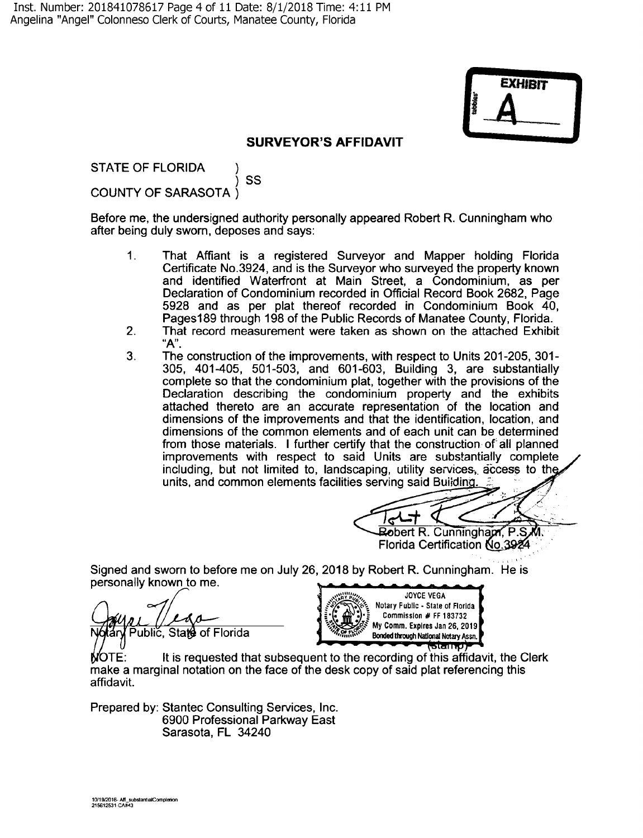

## **SURVEYOR'S AFFIDAVIT**

STATE OF FLORIDA ) SS COUNTY OF SARASOTA )

Before me, the undersigned authority personally appeared Robert R. Cunningham who after being duly sworn, deposes and says:

- 1. That Affiant is a registered Surveyor and Mapper holding Florida Certificate No.3924, and is the Surveyor who surveyed the property known and identified Waterfront at Main Street, a Condominium, as per Declaration of Condominium recorded in Official Record Book 2682, Page 5928 and as per plat thereof recorded in Condominium Book 40, Pages189 through 198 of the Public Records of Manatee County, Florida.
- 2. That record measurement were taken as shown on the attached Exhibit **"A".**
- 3. The construction of the improvements, with respect to Units 201-205, 301- 305, 401-405, 501-503, and 601-603, Building 3, are substantially complete so that the condominium plat, together with the provisions of the Declaration describing the condominium property and the exhibits attached thereto are an accurate representation of the location and dimensions of the improvements and that the identification, location, and dimensions of the common elements and of each unit can be determined from those materials. I further certify that the construction of all planned improvements with respect to said Units are substantially complete including, but not limited to, landscaping, utility services, access to the units, and common elements facilities serving said Building.

Robert R. Cunningham, P.S. Florida Certification No.3924

Signed and sworn to before me on July 26, 2018 by Robert R. Cunningham. He is personally known to me.

Public, State of Florida



 $\mathsf{MOTE:}\qquad \qquad$  It is requested that subsequent to the recording of this affidavit, the Clerk make a marginal notation on the face of the desk copy of said plat referencing this affidavit.

Prepared by: Stantec Consulting Services, Inc. 6900 Professional Parkway East Sarasota, FL 34240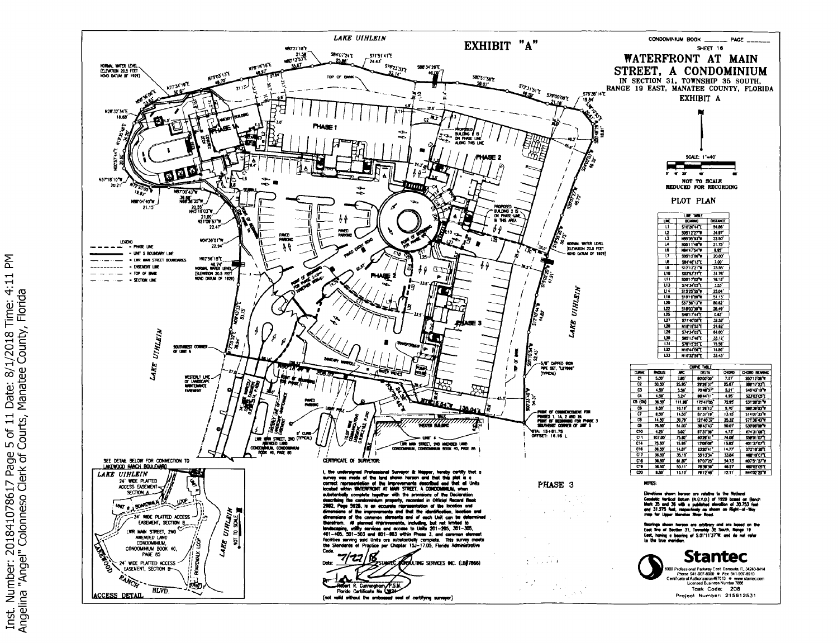

좀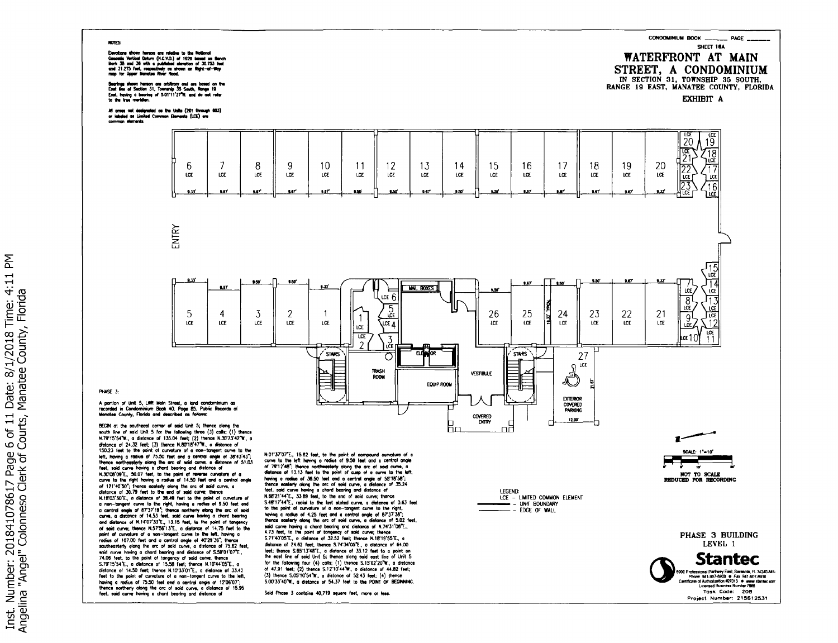#### **NOTES:**

Exercicera shown haraon are ratative to the Notional<br>Geodelic Verticel Dotum (N.C.V.D.) of 1928 based on Bench<br>Mork 35 and 36 mith a published showtion of 30.753 feet<br>and 31.275 feet, respectively as shown on Right-of-Way<br>

Bearings shown hereon are arbitrary and are based on the<br>East line of Section 31, Township 35 South, Range 19<br>East, having a bearing of 5.01'11'37'W. end do not refer<br>to the line meridien.

All areas not designated as the Units (201 through 803)<br>or iabeled os Limited Common Elements (LCE) are<br>common elements.



**PHACE 1-**

A portion of Unit 5, LWR Main Street, a land condominium as<br>recorded in Condominium Book 40, Page 85, Public Records of<br>Menatee County, Florida and described as follows:

example and the solutions come to seal unit, up the results and the solution of 135.04 feet; (2) thence N.79°15'54'W, a distance of 135.04 feet; (2) thence N.39'23'42'W, a distance of 135.04 feet; (2) thence N.39'23'42'W, 150.23 feet to the point of curvature of a non-tangent curve to the<br>term in the point of curvature of a non-tangent curve to the<br>thermo mortenesterly olong the or of said curve, a distome of 5143'45",<br>then, coid curve howi and distance of N.14'07'33'E., 13.15 feet, to the point of tangency of said curve; thence N.575613'E., a distance of 14.75 feet to the point of curvature of a non-tangent curve to the left, having a point or current over a more-temperature to the west, nowing orders of 17.00 feet and a central angle of 40°29°36°; thence<br>southeasterly olong the arc of said curve, a distance of 75.62 feet,<br>southeasterly olong a chord be Sisteme of 14.50 feet; thence N.10733101 T., a distance of 33.42<br>distance of 14.50 feet; thence N.10733101 T., a distance of 33.42<br>feet to the point of curvature of a non-tompart curve to the left,<br>having a radius of 75.50

N.01'37'07'E., 15.92 feet, to the point of compound curvature of a<br>curve to the left having a radius of 9.50 feet and a central angle<br>of 79°12'48"; thence northwesterly along the arc of solid curve, a<br>distance of 1.3.13 f N.88'21'44"E., 33.89 feet, to the end of said curve; thence S.49°17'44°E., radial to the last stated curve, a distance of 0.63 feet S.4971/447, rodial to the last stated curve, a distance of 0.63 feet<br>to the point of curvature of a non-langent curve to the right,<br>howing a rodial of 4.25 feet and a central ongle of 673738".<br>Hence easterly deng a chord b for the following four  $(4)$  calls; (1) thence  $S.15'02'20''W$ , a distance of 47.91 feet; (2) thence  $S.12'10'44''W$ , a distance of 44.82 feet; (3) thence S.05'10'54"W., a distance of 52.43 feet; (4) thence S.00'33'40'W., a distance of 54.37 feet to the POINT OF BEGINNING

Said Phase 3 contains 40,719 square feet, more or less.

**LEGEND:** LCE - LIMITED COMMON ELEMENT  $-$  - EDGE OF WALL

> PHASE 3 BUILDING LEVEL 1

SCALE: 1"=10"

NOT TO SCALE<br>REDUCED FOR RECORDING

CONDOMINIUM BOOK \_\_\_\_\_\_ PAGE \_

WATERFRONT AT MAIN STREET, A CONDOMINIUM IN SECTION 31, TOWNSHIP 35 SOUTH,

RANGE 19 EAST, MANATEE COUNTY, FLORIDA EXHIBIT A

SHEET 16A

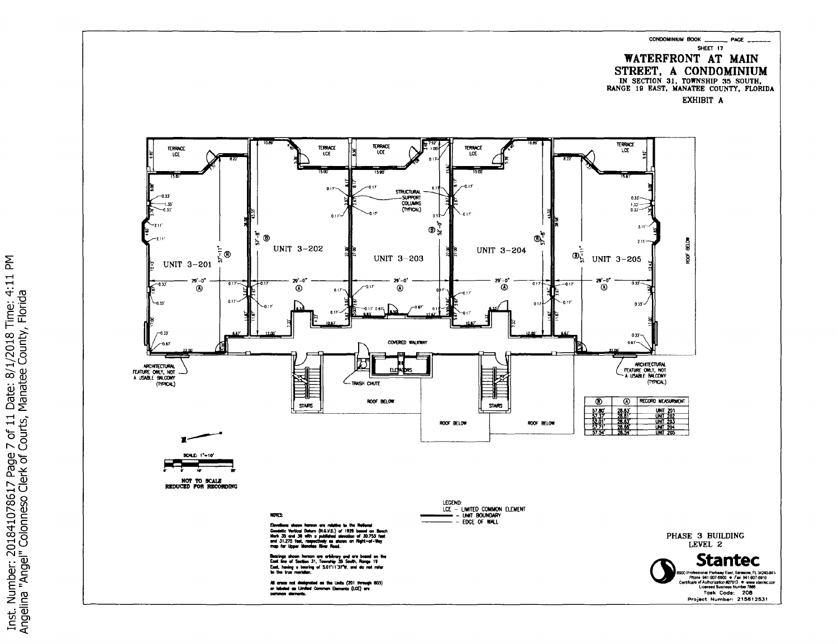**CONDOMINIUM BOOK**  $-$  PAGE  $-$ SHEET 17 WATERFRONT AT MAIN STREET, A CONDOMINIUM IN SECTION 31, TOWNSHIP 35 SOUTH. RANGE 19 EAST, MANATEE COUNTY, FLORIDA

EXHIBIT A



Inst. Number: 201841078617 Page 7 of 11 Date: 8/1/2018 Time: 4:11 PM<br>Angelina "Angel" Colonneso Clerk of Courts, Manatee County, Florida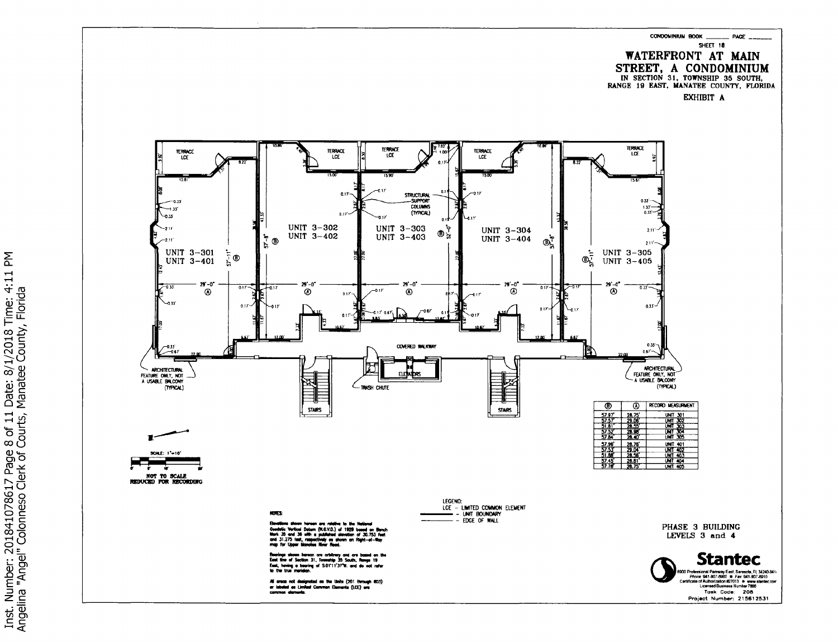CONDOMINIUM BOOK  $-$  PAGE  $-$ SHEET 18 **WATERFRONT AT MAIN** STREET, A CONDOMINIUM IN SECTION 31, TOWNSHIP 35 SOUTH,<br>RANGE 19 EAST, MANATEE COUNTY, FLORIDA

EXHIBIT A



Inst. Number: 201841078617 Page 8 of 11 Date: 8/1/2018 Time: 4:11 PM<br>Angelina "Angel" Colonneso Clerk of Courts, Manatee County, Florida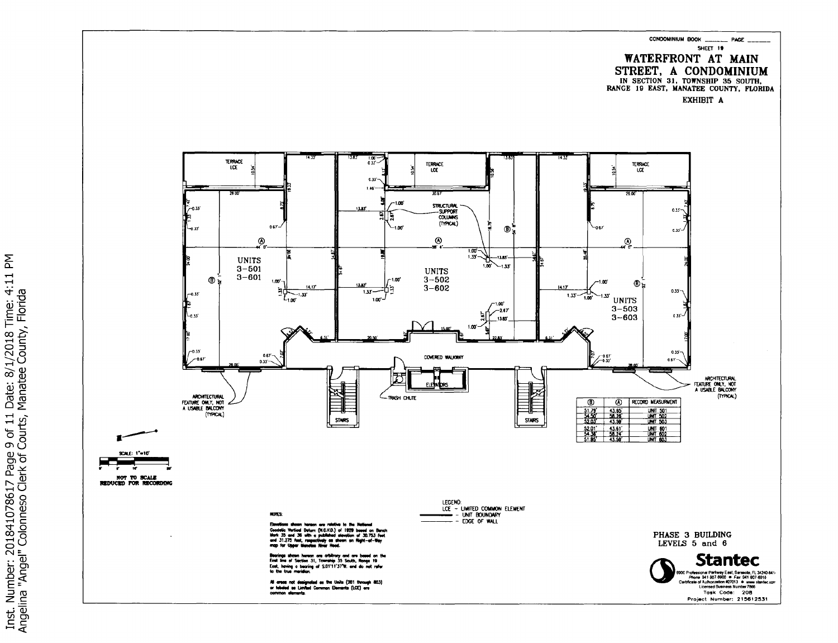



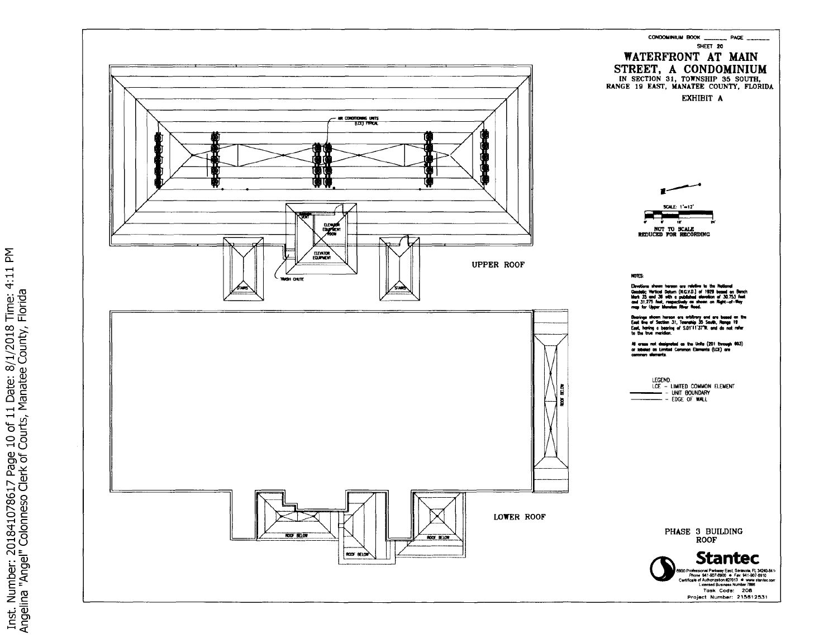

Inst. Number: 201841078617 Page 10 of 11 Date: 8/1/2018 Time: 4:11 PM<br>Angelina "Angel" Colonneso Clerk of Courts, Manatee County, Florida